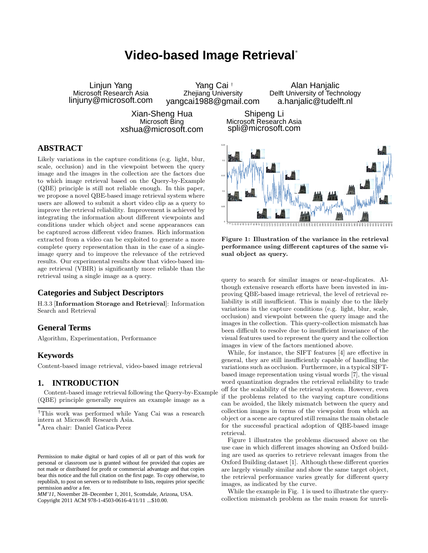# **Video-based Image Retrieval**<sup>∗</sup>

Linjun Yang Microsoft Research Asia linjuny@microsoft.com Yang Cai † Zhejiang University yangcai1988@gmail.com

> Xian-Sheng Hua Microsoft Bing xshua@microsoft.com

Shipeng Li Microsoft Research Asia spli@microsoft.com

# **ABSTRACT**

Likely variations in the capture conditions (e.g. light, blur, scale, occlusion) and in the viewpoint between the query image and the images in the collection are the factors due to which image retrieval based on the Query-by-Example (QBE) principle is still not reliable enough. In this paper, we propose a novel QBE-based image retrieval system where users are allowed to submit a short video clip as a query to improve the retrieval reliability. Improvement is achieved by integrating the information about different viewpoints and conditions under which object and scene appearances can be captured across different video frames. Rich information extracted from a video can be exploited to generate a more complete query representation than in the case of a singleimage query and to improve the relevance of the retrieved results. Our experimental results show that video-based image retrieval (VBIR) is significantly more reliable than the retrieval using a single image as a query.

# **Categories and Subject Descriptors**

H.3.3 [Information Storage and Retrieval]: Information Search and Retrieval

# **General Terms**

Algorithm, Experimentation, Performance

### **Keywords**

Content-based image retrieval, video-based image retrieval

# **1. INTRODUCTION**

Content-based image retrieval following the Query-by-Example (QBE) principle generally requires an example image as a

<sup>∗</sup>Area chair: Daniel Gatica-Perez

*MM'11,* November 28–December 1, 2011, Scottsdale, Arizona, USA. Copyright 2011 ACM 978-1-4503-0616-4/11/11 ...\$10.00.



Alan Hanjalic Delft University of Technology a.hanjalic@tudelft.nl

Figure 1: Illustration of the variance in the retrieval performance using different captures of the same visual object as query.

query to search for similar images or near-duplicates. Although extensive research efforts have been invested in improving QBE-based image retrieval, the level of retrieval reliability is still insufficient. This is mainly due to the likely variations in the capture conditions (e.g. light, blur, scale, occlusion) and viewpoint between the query image and the images in the collection. This query-collection mismatch has been difficult to resolve due to insufficient invariance of the visual features used to represent the query and the collection images in view of the factors mentioned above.

While, for instance, the SIFT features [4] are effective in general, they are still insufficiently capable of handling the variations such as occlusion. Furthermore, in a typical SIFTbased image representation using visual words [7], the visual word quantization degrades the retrieval reliability to trade off for the scalability of the retrieval system. However, even if the problems related to the varying capture conditions can be avoided, the likely mismatch between the query and collection images in terms of the viewpoint from which an object or a scene are captured still remains the main obstacle for the successful practical adoption of QBE-based image retrieval.

Figure 1 illustrates the problems discussed above on the use case in which different images showing an Oxford building are used as queries to retrieve relevant images from the Oxford Building dataset [1]. Although these different queries are largely visually similar and show the same target object, the retrieval performance varies greatly for different query images, as indicated by the curve.

While the example in Fig. 1 is used to illustrate the querycollection mismatch problem as the main reason for unreli-

<sup>†</sup>This work was performed while Yang Cai was a research intern at Microsoft Research Asia.

Permission to make digital or hard copies of all or part of this work for personal or classroom use is granted without fee provided that copies are not made or distributed for profit or commercial advantage and that copies bear this notice and the full citation on the first page. To copy otherwise, to republish, to post on servers or to redistribute to lists, requires prior specific permission and/or a fee.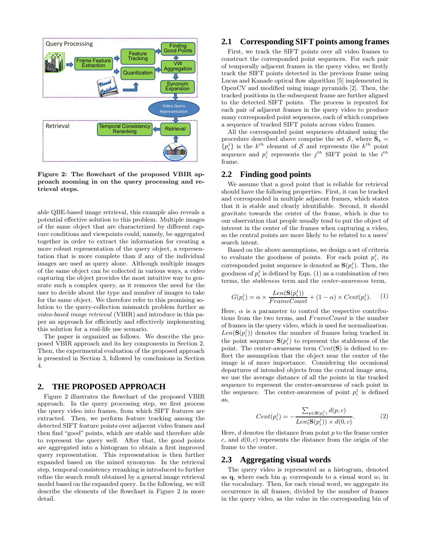

Figure 2: The flowchart of the proposed VBIR approach zooming in on the query processing and retrieval steps.

able QBE-based image retrieval, this example also reveals a potential effective solution to this problem. Multiple images of the same object that are characterized by different capture conditions and viewpoints could, namely, be aggregated together in order to extract the information for creating a more robust representation of the query object, a representation that is more complete than if any of the individual images are used as query alone. Although multiple images of the same object can be collected in various ways, a video capturing the object provides the most intuitive way to generate such a complex query, as it removes the need for the user to decide about the type and number of images to take for the same object. We therefore refer to this promising solution to the query-collection mismatch problem further as video-based image retrieval (VBIR) and introduce in this paper an approach for efficiently and effectively implementing this solution for a real-life use scenario.

The paper is organized as follows. We describe the proposed VBIR approach and its key components in Section 2. Then, the experimental evaluation of the proposed approach is presented in Section 3, followed by conclusions in Section 4.

#### **2. THE PROPOSED APPROACH**

Figure 2 illustrates the flowchart of the proposed VBIR approach. In the query processing step, we first process the query video into frames, from which SIFT features are extracted. Then, we perform feature tracking among the detected SIFT feature points over adjacent video frames and then find "good" points, which are stable and therefore able to represent the query well. After that, the good points are aggregated into a histogram to obtain a first improved query representation. This representation is then further expanded based on the mined synonyms. In the retrieval step, temporal consistency reranking is introduced to further refine the search result obtained by a general image retrieval model based on the expanded query. In the following, we will describe the elements of the flowchart in Figure 2 in more detail.

# **2.1 Corresponding SIFT points among frames**

First, we track the SIFT points over all video frames to construct the corresponded point sequences. For each pair of temporally adjacent frames in the query video, we firstly track the SIFT points detected in the previous frame using Lucas and Kanade optical flow algorithm [5] implemented in OpenCV and modified using image pyramids [2]. Then, the tracked positions in the subsequent frame are further aligned to the detected SIFT points. The process is repeated for each pair of adjacent frames in the query video to produce many corresponded point sequences, each of which comprises a sequence of tracked SIFT points across video frames.

All the corresponded point sequences obtained using the procedure described above comprise the set  $S$ , where  $S_k =$  $\{p_i^j\}$  is the  $k^{th}$  element of S and represents the  $k^{th}$  point sequence and  $p_i^j$  represents the  $j^{th}$  SIFT point in the  $i^{th}$ frame.

## **2.2 Finding good points**

We assume that a good point that is reliable for retrieval should have the following properties. First, it can be tracked and corresponded in multiple adjacent frames, which states that it is stable and clearly identifiable. Second, it should gravitate towards the center of the frame, which is due to our observation that people usually tend to put the object of interest in the center of the frames when capturing a video, so the central points are more likely to be related to a users' search intent.

Based on the above assumptions, we design a set of criteria to evaluate the goodness of points. For each point  $p_i^j$ , its corresponded point sequence is denoted as  $\mathbf{S}(p_i^j)$ . Then, the goodness of  $p_i^j$  is defined by Eqn. (1) as a combination of two terms, the stableness term and the center-awareness term,

$$
G(p_i^j) = \alpha \times \frac{Len(S(p_i^j))}{FrameCount} + (1 - \alpha) \times Cent(p_i^j).
$$
 (1)

Here,  $\alpha$  is a parameter to control the respective contributions from the two terms, and  $FrameCount$  is the number of frames in the query video, which is used for normalization.  $Len(\mathbf{S}(p_i^j))$  denotes the number of frames being tracked in the point sequence  $\mathbf{S}(p_i^j)$  to represent the stableness of the point. The center-awareness term  $Cent(\mathbf{S})$  is defined to reflect the assumption that the object near the center of the image is of more importance. Considering the occasional departures of intended objects from the central image area, we use the average distance of all the points in the tracked sequence to represent the center-awareness of each point in the sequence. The center-awareness of point  $p_i^j$  is defined as,

$$
Cent(p_i^j) = -\frac{\sum_{p \in \mathbf{S}(p_i^j)} d(p, c)}{Len(\mathbf{S}(p_i^j)) \times d(0, c)}.
$$
 (2)

Here,  $d$  denotes the distance from point  $p$  to the frame center c, and  $d(0, c)$  represents the distance from the origin of the frame to the center.

#### **2.3 Aggregating visual words**

The query video is represented as a histogram, denoted as q, where each bin  $q_i$  corresponds to a visual word  $w_i$  in the vocabulary. Then, for each visual word, we aggregate its occurrence in all frames, divided by the number of frames in the query video, as the value in the corresponding bin of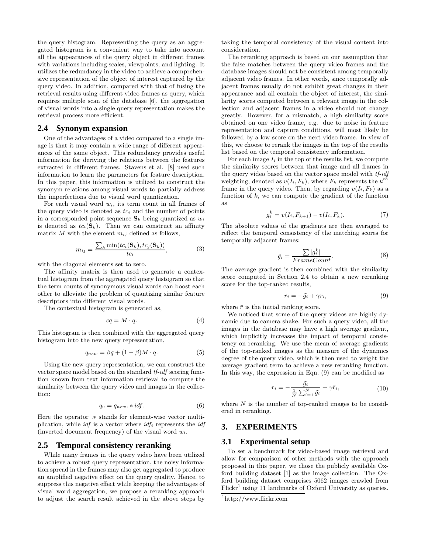the query histogram. Representing the query as an aggregated histogram is a convenient way to take into account all the appearances of the query object in different frames with variations including scales, viewpoints, and lighting. It utilizes the redundancy in the video to achieve a comprehensive representation of the object of interest captured by the query video. In addition, compared with that of fusing the retrieval results using different video frames as query, which requires multiple scan of the database [6], the aggregation of visual words into a single query representation makes the retrieval process more efficient.

#### **2.4 Synonym expansion**

One of the advantages of a video compared to a single image is that it may contain a wide range of different appearances of the same object. This redundancy provides useful information for deriving the relations between the features extracted in different frames. Stavens et al. [8] used such information to learn the parameters for feature description. In this paper, this information is utilized to construct the synonym relations among visual words to partially address the imperfections due to visual word quantization.

For each visual word  $w_i$ , its term count in all frames of the query video is denoted as  $tc_i$  and the number of points in a corresponded point sequence  $\mathbf{S}_k$  being quantized as  $w_i$ is denoted as  $tc_i(\mathbf{S}_k)$ . Then we can construct an affinity matrix  $M$  with the element  $m_{ij}$  defined as follows,

$$
m_{ij} = \frac{\sum_{k} \min(t c_i(\mathbf{S}_k), t c_j(\mathbf{S}_k))}{t c_i},\tag{3}
$$

with the diagonal elements set to zero.

The affinity matrix is then used to generate a contextual histogram from the aggregated query histogram so that the term counts of synonymous visual words can boost each other to alleviate the problem of quantizing similar feature descriptors into different visual words.

The contextual histogram is generated as,

$$
cq = M \cdot q. \tag{4}
$$

This histogram is then combined with the aggregated query histogram into the new query representation,

$$
q_{new} = \beta q + (1 - \beta)M \cdot q. \tag{5}
$$

Using the new query representation, we can construct the vector space model based on the standard tf-idf scoring function known from text information retrieval to compute the similarity between the query video and images in the collection:

$$
q_v = q_{new} \cdot * idf. \tag{6}
$$

Here the operator .∗ stands for element-wise vector multiplication, while *idf* is a vector where  $\mathcal{U}f_i$  represents the *idf* (inverted document frequency) of the visual word  $w_i$ .

#### **2.5 Temporal consistency reranking**

While many frames in the query video have been utilized to achieve a robust query representation, the noisy information spread in the frames may also get aggregated to produce an amplified negative effect on the query quality. Hence, to suppress this negative effect while keeping the advantages of visual word aggregation, we propose a reranking approach to adjust the search result achieved in the above steps by

taking the temporal consistency of the visual content into consideration.

The reranking approach is based on our assumption that the false matches between the query video frames and the database images should not be consistent among temporally adjacent video frames. In other words, since temporally adjacent frames usually do not exhibit great changes in their appearance and all contain the object of interest, the similarity scores computed between a relevant image in the collection and adjacent frames in a video should not change greatly. However, for a mismatch, a high similarity score obtained on one video frame, e.g. due to noise in feature representation and capture conditions, will most likely be followed by a low score on the next video frame. In view of this, we choose to rerank the images in the top of the results list based on the temporal consistency information.

For each image  $I_i$  in the top of the results list, we compute the similarity scores between that image and all frames in the query video based on the vector space model with tf-idf weighting, denoted as  $v(I_i, F_k)$ , where  $F_k$  represents the  $k^{th}$ frame in the query video. Then, by regarding  $v(I_i, F_k)$  as a function of  $k$ , we can compute the gradient of the function as

$$
g_i^k = v(I_i, F_{k+1}) - v(I_i, F_k). \tag{7}
$$

The absolute values of the gradients are then averaged to reflect the temporal consistency of the matching scores for temporally adjacent frames:

$$
\tilde{g_i} = \frac{\sum |g_i^k|}{FrameCount}.
$$
\n(8)

The average gradient is then combined with the similarity score computed in Section 2.4 to obtain a new reranking score for the top-ranked results,

$$
r_i = -\tilde{g}_i + \gamma \bar{r}_i,\tag{9}
$$

where  $\bar{r}$  is the initial ranking score.

We noticed that some of the query videos are highly dynamic due to camera shake. For such a query video, all the images in the database may have a high average gradient, which implicitly increases the impact of temporal consistency on reranking. We use the mean of average gradients of the top-ranked images as the measure of the dynamics degree of the query video, which is then used to weight the average gradient term to achieve a new reranking function. In this way, the expression in Eqn. (9) can be modified as

$$
r_i = -\frac{\tilde{g_i}}{\frac{1}{N} \sum_{i=1}^{N} \tilde{g_i}} + \gamma \bar{r_i},\tag{10}
$$

where  $N$  is the number of top-ranked images to be considered in reranking.

# **3. EXPERIMENTS**

#### **3.1 Experimental setup**

To set a benchmark for video-based image retrieval and allow for comparison of other methods with the approach proposed in this paper, we chose the publicly available Oxford building dataset [1] as the image collection. The Oxford building dataset comprises 5062 images crawled from  $Flickr<sup>1</sup>$  using 11 landmarks of Oxford University as queries.

<sup>1</sup> http://www.flickr.com